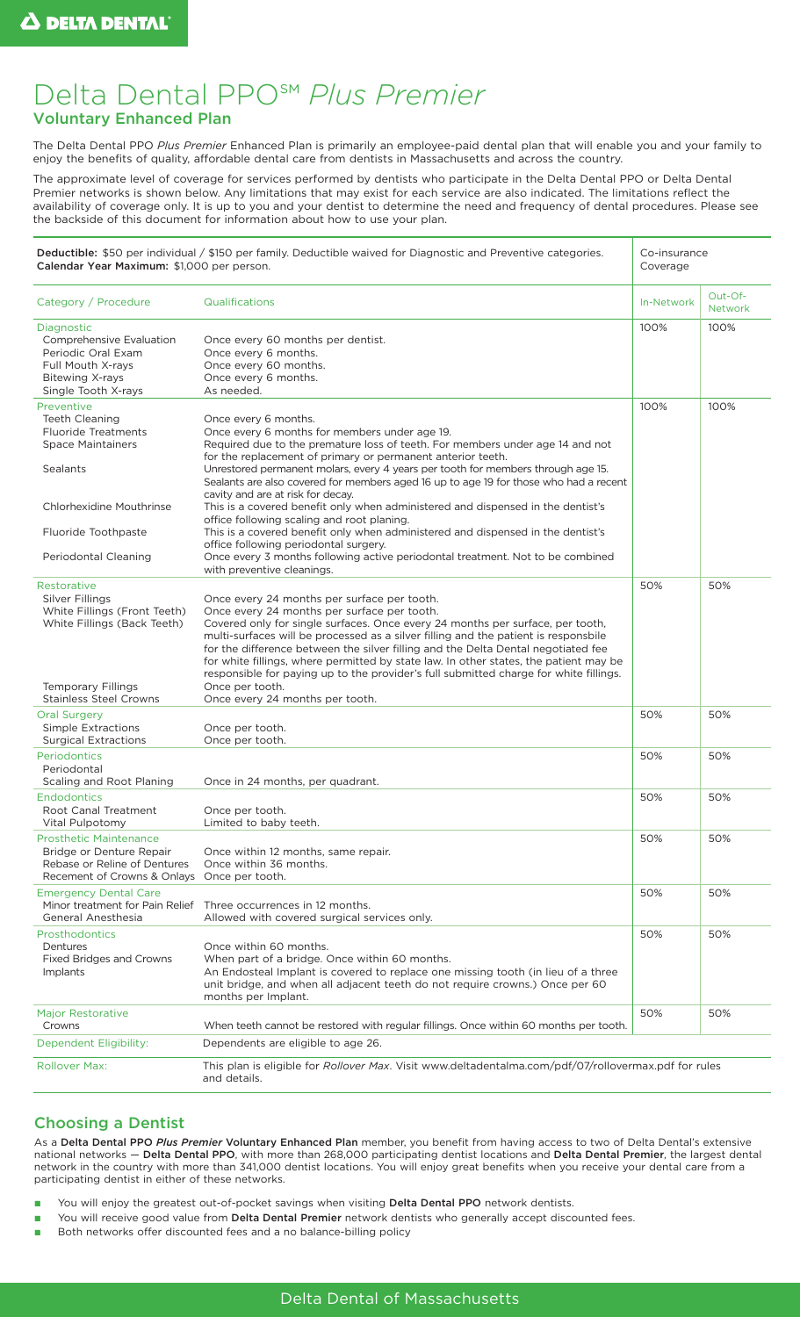# Delta Dental PPO℠ *Plus Premier*  Voluntary Enhanced Plan

The Delta Dental PPO *Plus Premier* Enhanced Plan is primarily an employee-paid dental plan that will enable you and your family to enjoy the benefits of quality, affordable dental care from dentists in Massachusetts and across the country.

The approximate level of coverage for services performed by dentists who participate in the Delta Dental PPO or Delta Dental Premier networks is shown below. Any limitations that may exist for each service are also indicated. The limitations reflect the availability of coverage only. It is up to you and your dentist to determine the need and frequency of dental procedures. Please see the backside of this document for information about how to use your plan.

| Deductible: \$50 per individual / \$150 per family. Deductible waived for Diagnostic and Preventive categories.<br>Calendar Year Maximum: \$1,000 per person.                               |                                                                                                                                                                                                                                                                                                                                                                                                                                                                                                                                                                                                                                                                                                                                                                                                                      | Co-insurance<br>Coverage |                           |
|---------------------------------------------------------------------------------------------------------------------------------------------------------------------------------------------|----------------------------------------------------------------------------------------------------------------------------------------------------------------------------------------------------------------------------------------------------------------------------------------------------------------------------------------------------------------------------------------------------------------------------------------------------------------------------------------------------------------------------------------------------------------------------------------------------------------------------------------------------------------------------------------------------------------------------------------------------------------------------------------------------------------------|--------------------------|---------------------------|
| Category / Procedure                                                                                                                                                                        | Qualifications                                                                                                                                                                                                                                                                                                                                                                                                                                                                                                                                                                                                                                                                                                                                                                                                       | In-Network               | Out-Of-<br><b>Network</b> |
| Diagnostic<br>Comprehensive Evaluation<br>Periodic Oral Exam<br>Full Mouth X-rays<br><b>Bitewing X-rays</b><br>Single Tooth X-rays                                                          | Once every 60 months per dentist.<br>Once every 6 months.<br>Once every 60 months.<br>Once every 6 months.<br>As needed.                                                                                                                                                                                                                                                                                                                                                                                                                                                                                                                                                                                                                                                                                             | 100%                     | 100%                      |
| Preventive<br><b>Teeth Cleaning</b><br><b>Fluoride Treatments</b><br><b>Space Maintainers</b><br><b>Sealants</b><br>Chlorhexidine Mouthrinse<br>Fluoride Toothpaste<br>Periodontal Cleaning | Once every 6 months.<br>Once every 6 months for members under age 19.<br>Required due to the premature loss of teeth. For members under age 14 and not<br>for the replacement of primary or permanent anterior teeth.<br>Unrestored permanent molars, every 4 years per tooth for members through age 15.<br>Sealants are also covered for members aged 16 up to age 19 for those who had a recent<br>cavity and are at risk for decay.<br>This is a covered benefit only when administered and dispensed in the dentist's<br>office following scaling and root planing.<br>This is a covered benefit only when administered and dispensed in the dentist's<br>office following periodontal surgery.<br>Once every 3 months following active periodontal treatment. Not to be combined<br>with preventive cleanings. | 100%                     | 100%                      |
| <b>Restorative</b><br><b>Silver Fillings</b><br>White Fillings (Front Teeth)<br>White Fillings (Back Teeth)<br><b>Temporary Fillings</b><br><b>Stainless Steel Crowns</b>                   | Once every 24 months per surface per tooth.<br>Once every 24 months per surface per tooth.<br>Covered only for single surfaces. Once every 24 months per surface, per tooth,<br>multi-surfaces will be processed as a silver filling and the patient is responsbile<br>for the difference between the silver filling and the Delta Dental negotiated fee<br>for white fillings, where permitted by state law. In other states, the patient may be<br>responsible for paying up to the provider's full submitted charge for white fillings.<br>Once per tooth.<br>Once every 24 months per tooth.                                                                                                                                                                                                                     | 50%                      | 50%                       |
| <b>Oral Surgery</b><br>Simple Extractions<br><b>Surgical Extractions</b>                                                                                                                    | Once per tooth.<br>Once per tooth.                                                                                                                                                                                                                                                                                                                                                                                                                                                                                                                                                                                                                                                                                                                                                                                   | 50%                      | 50%                       |
| <b>Periodontics</b><br>Periodontal<br>Scaling and Root Planing                                                                                                                              | Once in 24 months, per quadrant.                                                                                                                                                                                                                                                                                                                                                                                                                                                                                                                                                                                                                                                                                                                                                                                     | 50%                      | 50%                       |
| <b>Endodontics</b><br>Root Canal Treatment<br>Vital Pulpotomy                                                                                                                               | Once per tooth.<br>Limited to baby teeth.                                                                                                                                                                                                                                                                                                                                                                                                                                                                                                                                                                                                                                                                                                                                                                            | 50%                      | 50%                       |
| <b>Prosthetic Maintenance</b><br>Bridge or Denture Repair<br>Rebase or Reline of Dentures<br>Recement of Crowns & Onlays Once per tooth.                                                    | Once within 12 months, same repair.<br>Once within 36 months.                                                                                                                                                                                                                                                                                                                                                                                                                                                                                                                                                                                                                                                                                                                                                        | 50%                      | 50%                       |
| <b>Emergency Dental Care</b><br>General Anesthesia                                                                                                                                          | Minor treatment for Pain Relief Three occurrences in 12 months.<br>Allowed with covered surgical services only.                                                                                                                                                                                                                                                                                                                                                                                                                                                                                                                                                                                                                                                                                                      | 50%                      | 50%                       |
| <b>Prosthodontics</b><br>Dentures<br>Fixed Bridges and Crowns<br>Implants                                                                                                                   | Once within 60 months.<br>When part of a bridge. Once within 60 months.<br>An Endosteal Implant is covered to replace one missing tooth (in lieu of a three<br>unit bridge, and when all adjacent teeth do not require crowns.) Once per 60<br>months per Implant.                                                                                                                                                                                                                                                                                                                                                                                                                                                                                                                                                   | 50%                      | 50%                       |
| <b>Major Restorative</b><br>Crowns                                                                                                                                                          | When teeth cannot be restored with regular fillings. Once within 60 months per tooth.                                                                                                                                                                                                                                                                                                                                                                                                                                                                                                                                                                                                                                                                                                                                | 50%                      | 50%                       |
| Dependent Eligibility:                                                                                                                                                                      | Dependents are eligible to age 26.                                                                                                                                                                                                                                                                                                                                                                                                                                                                                                                                                                                                                                                                                                                                                                                   |                          |                           |
| <b>Rollover Max:</b>                                                                                                                                                                        | This plan is eligible for Rollover Max. Visit www.deltadentalma.com/pdf/07/rollovermax.pdf for rules<br>and details.                                                                                                                                                                                                                                                                                                                                                                                                                                                                                                                                                                                                                                                                                                 |                          |                           |

### Choosing a Dentist

As a Delta Dental PPO *Plus Premier* Voluntary Enhanced Plan member, you benefit from having access to two of Delta Dental's extensive national networks - Delta Dental PPO, with more than 268,000 participating dentist locations and Delta Dental Premier, the largest dental network in the country with more than 341,000 dentist locations. You will enjoy great benefits when you receive your dental care from a participating dentist in either of these networks.

- You will enjoy the greatest out-of-pocket savings when visiting Delta Dental PPO network dentists.
- You will receive good value from Delta Dental Premier network dentists who generally accept discounted fees.
- Both networks offer discounted fees and a no balance-billing policy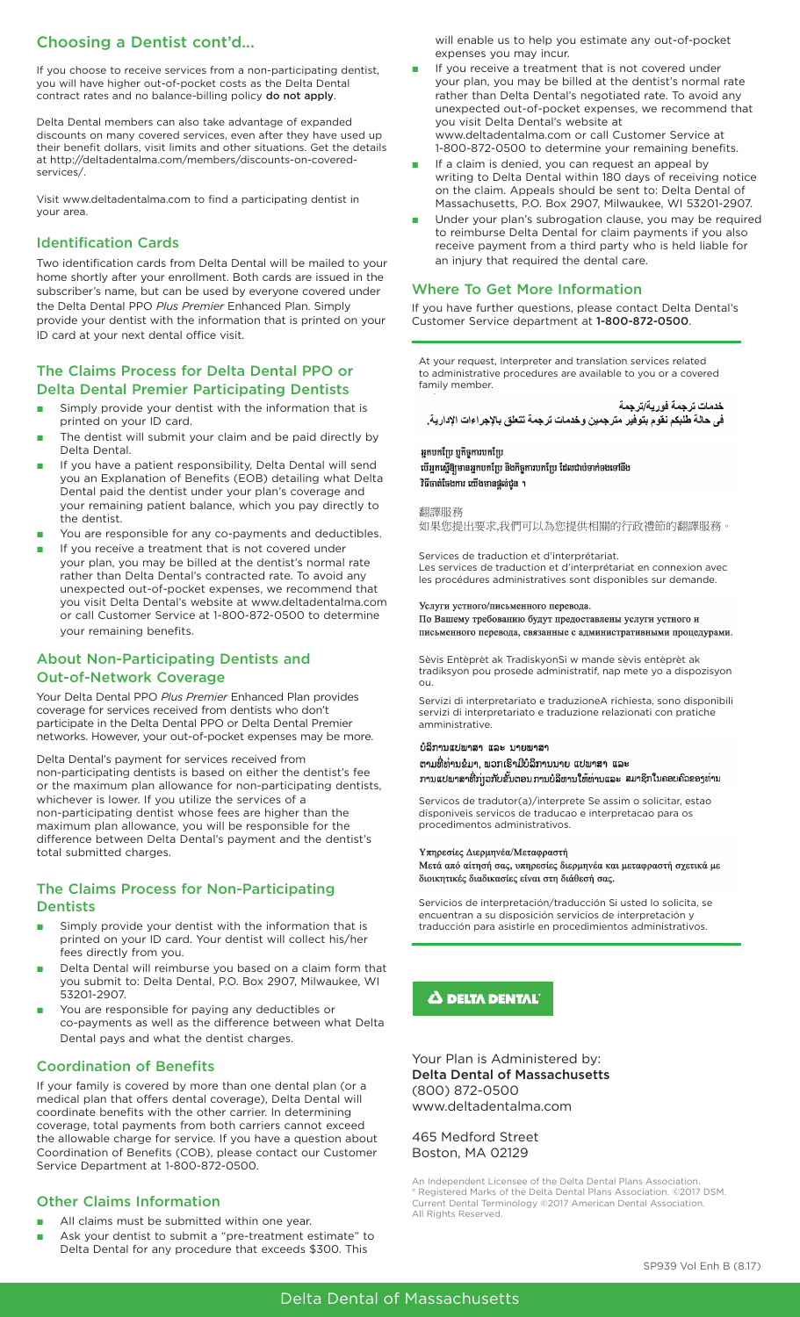# Choosing a Dentist cont'd...

If you choose to receive services from a non-participating dentist, you will have higher out-of-pocket costs as the Delta Dental contract rates and no balance-billing policy do not apply.

Delta Dental members can also take advantage of expanded discounts on many covered services, even after they have used up their benefit dollars, visit limits and other situations. Get the details at http://deltadentalma.com/members/discounts-on-coveredservices/.

Visit www.deltadentalma.com to find a participating dentist in your area.

## Identification Cards

Two identification cards from Delta Dental will be mailed to your home shortly after your enrollment. Both cards are issued in the subscriber's name, but can be used by everyone covered under the Delta Dental PPO *Plus Premier* Enhanced Plan. Simply provide your dentist with the information that is printed on your ID card at your next dental office visit.

### The Claims Process for Delta Dental PPO or Delta Dental Premier Participating Dentists

- Simply provide your dentist with the information that is printed on your ID card.
- The dentist will submit your claim and be paid directly by Delta Dental.
- If you have a patient responsibility, Delta Dental will send you an Explanation of Benefits (EOB) detailing what Delta Dental paid the dentist under your plan's coverage and your remaining patient balance, which you pay directly to the dentist.
- You are responsible for any co-payments and deductibles.
- If you receive a treatment that is not covered under your plan, you may be billed at the dentist's normal rate rather than Delta Dental's contracted rate. To avoid any unexpected out-of-pocket expenses, we recommend that you visit Delta Dental's website at www.deltadentalma.com or call Customer Service at 1-800-872-0500 to determine your remaining benefits.

# About Non-Participating Dentists and Out-of-Network Coverage

Your Delta Dental PPO *Plus Premier* Enhanced Plan provides coverage for services received from dentists who don't participate in the Delta Dental PPO or Delta Dental Premier networks. However, your out-of-pocket expenses may be more.

Delta Dental's payment for services received from non-participating dentists is based on either the dentist's fee or the maximum plan allowance for non-participating dentists, whichever is lower. If you utilize the services of a non-participating dentist whose fees are higher than the maximum plan allowance, you will be responsible for the difference between Delta Dental's payment and the dentist's total submitted charges.

### The Claims Process for Non-Participating **Dentists**

- Simply provide your dentist with the information that is printed on your ID card. Your dentist will collect his/her fees directly from you.
- Delta Dental will reimburse you based on a claim form that you submit to: Delta Dental, P.O. Box 2907, Milwaukee, WI 53201-2907.
- You are responsible for paying any deductibles or co-payments as well as the difference between what Delta Dental pays and what the dentist charges.

#### Coordination of Benefits

If your family is covered by more than one dental plan (or a medical plan that offers dental coverage), Delta Dental will coordinate benefits with the other carrier. In determining coverage, total payments from both carriers cannot exceed the allowable charge for service. If you have a question about Coordination of Benefits (COB), please contact our Customer Service Department at 1-800-872-0500.

### Other Claims Information

- All claims must be submitted within one year.
- Ask your dentist to submit a "pre-treatment estimate" to Delta Dental for any procedure that exceeds \$300. This

will enable us to help you estimate any out-of-pocket expenses you may incur.

- If you receive a treatment that is not covered under your plan, you may be billed at the dentist's normal rate rather than Delta Dental's negotiated rate. To avoid any unexpected out-of-pocket expenses, we recommend that you visit Delta Dental's website at www.deltadentalma.com or call Customer Service at 1-800-872-0500 to determine your remaining benefits.
- If a claim is denied, you can request an appeal by writing to Delta Dental within 180 days of receiving notice on the claim. Appeals should be sent to: Delta Dental of Massachusetts, P.O. Box 2907, Milwaukee, WI 53201-2907.
- Under your plan's subrogation clause, you may be required to reimburse Delta Dental for claim payments if you also receive payment from a third party who is held liable for an injury that required the dental care.

# Where To Get More Information

If you have further questions, please contact Delta Dental's Customer Service department at 1-800-872-0500.

At your request, Interpreter and translation services related to administrative procedures are available to you or a covered family member.

خدمات ترجمة فورية/ترجمة في حالة طلبكم نقوم بتوفير مترجمين وخدمات ترجمة تتعلق بالإجراءات الإدارية.

#### អុកបកប្រែ បកិច្ចការបកប្រែ

### បើអ្នកស្នើឱ្យមានអ្នកបកប្រែ និងកិច្ចការបកប្រែ ដែលជាប់ទាក់ទងទៅនឹង វិធីចាត់ចែងការ យើងមានផ្តល់ជួន ។

翻譯服務

如果您提出要求,我們可以為您提供相關的行政禮節的翻譯服務。

Services de traduction et d'interprétariat. Les services de traduction et d'interprétariat en connexion avec les procédures administratives sont disponibles sur demande.

Услуги устного/письменного перевода.

По Вашему требованию будут предоставлены услуги устного и письменного перевода, связанные с административными процедурами.

Sèvis Entèprèt ak TradiskyonSi w mande sèvis entèprèt ak tradiksyon pou prosede administratif, nap mete yo a dispozisyon ou.

Servizi di interpretariato e traduzioneA richiesta, sono disponibili servizi di interpretariato e traduzione relazionati con pratiche amministrative.

#### ບໍລິການແປພາສາ ແລະ ນາຍພາສາ

ຕາມທີ່ທ່ານຂໍມາ, ພວກເຮົາມີບໍລິການນາຍ ແປພາສາ ແລະ ການແປພາສາທີ່ກ່າວກັບຂັ້ນຕອນການບໍລິຫານໃຫ້ທ່ານແລະ ສມາຊິກໃນຄອບຄົວຂອງທ່ານ

Servicos de tradutor(a)/interprete Se assim o solicitar, estao disponiveis servicos de traducao e interpretacao para os procedimentos administrativos.

#### Υπηρεσίες Διερμηνέα/Μεταφραστή

Μετά από αίτησή σας, υπηρεσίες διερμηνέα και μεταφραστή σχετικά με διοικητικές διαδικασίες είναι στη διάθεσή σας.

Servicios de interpretación/traducción Si usted lo solicita, se encuentran a su disposición servicios de interpretación y traducción para asistirle en procedimientos administrativos.

 $\boldsymbol{\Delta}$  delta dental $\tilde{ }$ 

Your Plan is Administered by: Delta Dental of Massachusetts (800) 872-0500 www.deltadentalma.com

465 Medford Street Boston, MA 02129

An Independent Licensee of the Delta Dental Plans Association. ® Registered Marks of the Delta Dental Plans Association. ©2017 DSM. Current Dental Terminology ©2017 American Dental Association. All Rights Reserved.